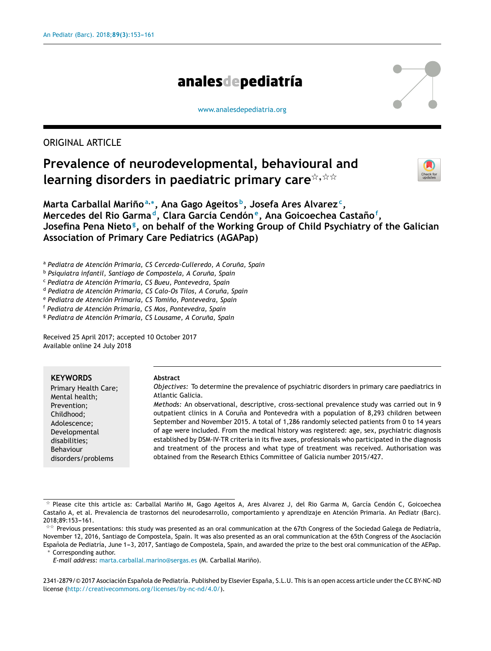# analesdepediatría

[www.analesdepediatria.org](http://www.analesdepediatria.org)

ORIGINAL ARTICLE

# **Prevalence of neurodevelopmental, behavioural and**  $l$  **learning disorders in paediatric primary care**  $\stackrel{\leftrightarrow}{\sim}$



**Marta Carballal Marino˜ a**,∗ **, Ana Gago Ageitos <sup>b</sup> , Josefa Ares Alvarez<sup>c</sup> , Mercedes del Rio Garma <sup>d</sup> , Clara García Cendón<sup>e</sup> , Ana Goicoechea Castano˜ f , Josefina Pena Nieto<sup>g</sup> , on behalf of the Working Group of Child Psychiatry of the Galician Association of Primary Care Pediatrics (AGAPap)**

<sup>a</sup> *Pediatra de Atención Primaria, CS Cerceda-Culleredo, A Coruna, ˜ Spain*

<sup>b</sup> *Psiquiatra infantil, Santiago de Compostela, A Coruna, ˜ Spain*

<sup>c</sup> *Pediatra de Atención Primaria, CS Bueu, Pontevedra, Spain*

<sup>d</sup> *Pediatra de Atención Primaria, CS Calo-Os Tilos, A Coruna, ˜ Spain*

<sup>e</sup> *Pediatra de Atención Primaria, CS Tomino, ˜ Pontevedra, Spain*

<sup>f</sup> *Pediatra de Atención Primaria, CS Mos, Pontevedra, Spain*

<sup>g</sup> *Pediatra de Atención Primaria, CS Lousame, A Coruna, ˜ Spain*

Received 25 April 2017; accepted 10 October 2017 Available online 24 July 2018

## **KEYWORDS**

Primary Health Care; Mental health; Prevention; Childhood; Adolescence; Developmental disabilities; Behaviour disorders/problems

#### **Abstract**

*Objectives:* To determine the prevalence of psychiatric disorders in primary care paediatrics in Atlantic Galicia.

*Methods:* An observational, descriptive, cross-sectional prevalence study was carried out in 9 outpatient clinics in A Coruña and Pontevedra with a population of 8,293 children between September and November 2015. A total of 1,286 randomly selected patients from 0 to 14 years of age were included. From the medical history was registered: age, sex, psychiatric diagnosis established by DSM-IV-TR criteria in its five axes, professionals who participated in the diagnosis and treatment of the process and what type of treatment was received. Authorisation was obtained from the Research Ethics Committee of Galicia number 2015/427.

Corresponding author.

*E-mail address:* [marta.carballal.marino@sergas.es](mailto:marta.carballal.marino@sergas.es) (M. Carballal Marino). ˜

2341-2879/© 2017 Asociación Española de Pediatría. Published by Elsevier España, S.L.U. This is an open access article under the CC BY-NC-ND license (<http://creativecommons.org/licenses/by-nc-nd/4.0/>).

 $\frac{1}{24}$ Please cite this article as: Carballal Mariño M, Gago Ageitos A, Ares Alvarez J, del Rio Garma M, García Cendón C, Goicoechea Castaño A, et al. Prevalencia de trastornos del neurodesarrollo, comportamiento y aprendizaje en Atención Primaria. An Pediatr (Barc). 2018;89:153-161.

<sup>\*\*</sup> Previous presentations: this study was presented as an oral communication at the 67th Congress of the Sociedad Galega de Pediatría, November 12, 2016, Santiago de Compostela, Spain. It was also presented as an oral communication at the 65th Congress of the Asociación Española de Pediatría, June 1-3, 2017, Santiago de Compostela, Spain, and awarded the prize to the best oral communication of the AEPap.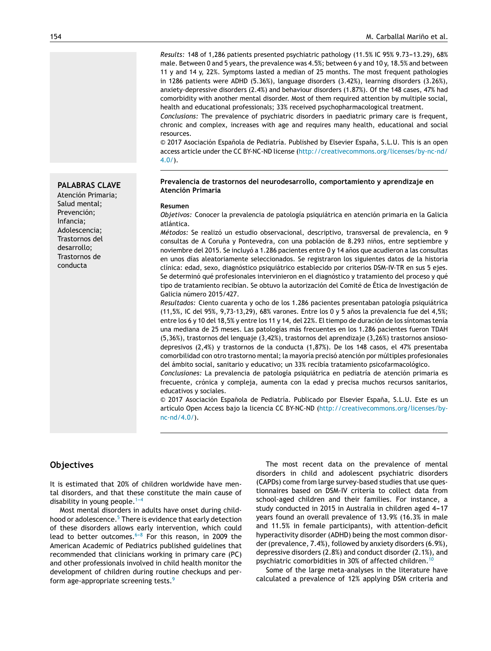Results: 148 of 1,286 patients presented psychiatric pathology (11.5% IC 95% 9.73-13.29), 68% male. Between 0 and 5 years, the prevalence was 4.5%; between 6 y and 10 y, 18.5% and between 11 y and 14 y, 22%. Symptoms lasted a median of 25 months. The most frequent pathologies in 1286 patients were ADHD (5.36%), language disorders (3.42%), learning disorders (3.26%), anxiety-depressive disorders (2.4%) and behaviour disorders (1.87%). Of the 148 cases, 47% had comorbidity with another mental disorder. Most of them required attention by multiple social, health and educational professionals; 33% received psychopharmacological treatment.

*Conclusions:* The prevalence of psychiatric disorders in paediatric primary care is frequent, chronic and complex, increases with age and requires many health, educational and social resources.

© 2017 Asociación Española de Pediatría. Published by Elsevier España, S.L.U. This is an open access article under the CC BY-NC-ND license [\(http://creativecommons.org/licenses/by-nc-nd/](http://creativecommons.org/licenses/by-nc-nd/4.0/) [4.0/\)](http://creativecommons.org/licenses/by-nc-nd/4.0/).

#### **Prevalencia de trastornos del neurodesarrollo, comportamiento y aprendizaje en Atención Primaria**

#### **Resumen**

*Objetivos:* Conocer la prevalencia de patología psiquiátrica en atención primaria en la Galicia atlántica.

*Métodos:* Se realizó un estudio observacional, descriptivo, transversal de prevalencia, en 9 consultas de A Coruña y Pontevedra, con una población de 8.293 niños, entre septiembre y noviembre del 2015. Se incluyó a 1.286 pacientes entre 0 y 14 años que acudieron a las consultas en unos días aleatoriamente seleccionados. Se registraron los siguientes datos de la historia clínica: edad, sexo, diagnóstico psiquiátrico establecido por criterios DSM-IV-TR en sus 5 ejes. Se determinó qué profesionales intervinieron en el diagnóstico y tratamiento del proceso y qué tipo de tratamiento recibían. Se obtuvo la autorización del Comité de Ética de Investigación de Galicia número 2015/427.

*Resultados:* Ciento cuarenta y ocho de los 1.286 pacientes presentaban patología psiquiátrica (11,5%, IC del 95%, 9,73-13,29), 68% varones. Entre los 0 y 5 años la prevalencia fue del 4,5%; entre los 6 y 10 del 18,5% y entre los 11 y 14, del 22%. El tiempo de duración de los síntomas tenía una mediana de 25 meses. Las patologías más frecuentes en los 1.286 pacientes fueron TDAH (5,36%), trastornos del lenguaje (3,42%), trastornos del aprendizaje (3,26%) trastornos ansiosodepresivos (2,4%) y trastornos de la conducta (1,87%). De los 148 casos, el 47% presentaba comorbilidad con otro trastorno mental; la mayoría precisó atención por múltiples profesionales del ámbito social, sanitario y educativo; un 33% recibía tratamiento psicofarmacológico.

*Conclusiones:* La prevalencia de patología psiquiátrica en pediatría de atención primaria es frecuente, crónica y compleja, aumenta con la edad y precisa muchos recursos sanitarios, educativos y sociales.

© 2017 Asociación Española de Pediatría. Publicado por Elsevier España, S.L.U. Este es un artículo Open Access bajo la licencia CC BY-NC-ND ([http://creativecommons.org/licenses/by](http://creativecommons.org/licenses/by-nc-nd/4.0/)[nc-nd/4.0/\)](http://creativecommons.org/licenses/by-nc-nd/4.0/).

## **Objectives**

It is estimated that 20% of children worldwide have mental disorders, and that these constitute the main cause of disability in young people.  $1-4$ 

Most mental disorders in adults have onset during child-hood or adolescence.<sup>5</sup> [T](#page-8-0)here is evidence that early detection of these disorders allows early intervention, which could lead to better outcomes. $6-8$  For this reason, in 2009 the American Academic of Pediatrics published guidelines that recommended that clinicians working in primary care (PC) and other professionals involved in child health monitor the development of children during routine checkups and perform age-appropriate screening tests.[9](#page-8-0)

The most recent data on the prevalence of mental disorders in child and adolescent psychiatric disorders (CAPDs) come from large survey-based studies that use questionnaires based on DSM-IV criteria to collect data from school-aged children and their families. For instance, a study conducted in 2015 in Australia in children aged 4-17 years found an overall prevalence of 13.9% (16.3% in male and 11.5% in female participants), with attention-deficit hyperactivity disorder (ADHD) being the most common disorder(prevalence, 7.4%), followed by anxiety disorders (6.9%), depressive disorders (2.8%) and conduct disorder (2.1%), and psychiatric comorbidities in 30% of affected children.[10](#page-8-0)

Some of the large meta-analyses in the literature have calculated a prevalence of 12% applying DSM criteria and

**PALABRAS CLAVE** Atención Primaria; Salud mental; Prevención; Infancia; Adolescencia; Trastornos del desarrollo; Trastornos de

conducta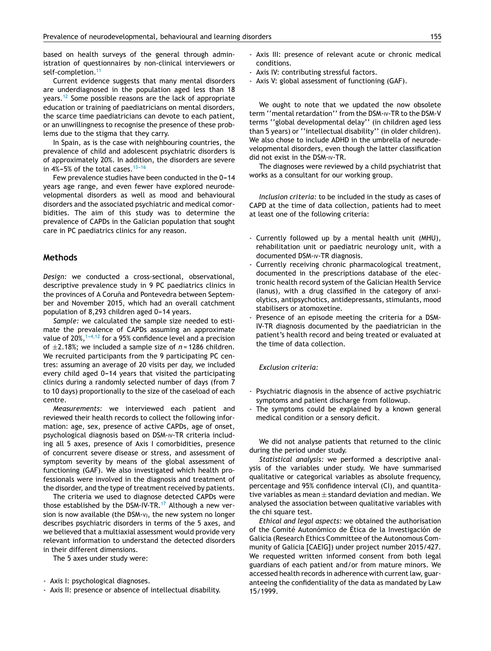based on health surveys of the general through administration of questionnaires by non-clinical interviewers or self-completion.<sup>[11](#page-8-0)</sup>

Current evidence suggests that many mental disorders are underdiagnosed in the population aged less than 18 years.[12](#page-8-0) Some possible reasons are the lack of appropriate education or training of paediatricians on mental disorders, the scarce time paediatricians can devote to each patient, or an unwillingness to recognise the presence of these problems due to the stigma that they carry.

In Spain, as is the case with neighbouring countries, the prevalence of child and adolescent psychiatric disorders is of approximately 20%. In addition, the disorders are severe in  $4\% - 5\%$  of the total cases.  $13-16$ 

Few prevalence studies have been conducted in the 0-14 years age range, and even fewer have explored neurodevelopmental disorders as well as mood and behavioural disorders and the associated psychiatric and medical comorbidities. The aim of this study was to determine the prevalence of CAPDs in the Galician population that sought care in PC paediatrics clinics for any reason.

## **Methods**

*Design:* we conducted a cross-sectional, observational, descriptive prevalence study in 9 PC paediatrics clinics in the provinces of A Coruña and Pontevedra between September and November 2015, which had an overall catchment population of 8,293 children aged 0-14 years.

*Sample:* we calculated the sample size needed to estimate the prevalence of CAPDs assuming an approximate value of  $20\%$ ,  $1-4,12$  for a 95% confidence level and a precision of  $\pm$ 2.18%; we included a sample size of  $n = 1286$  children. We recruited participants from the 9 participating PC centres: assuming an average of 20 visits per day, we included every child aged  $0-14$  years that visited the participating clinics during a randomly selected number of days (from 7 to 10 days) proportionally to the size of the caseload of each centre.

*Measurements:* we interviewed each patient and reviewed their health records to collect the following information: age, sex, presence of active CAPDs, age of onset, psychological diagnosis based on DSM-IV-TR criteria including all 5 axes, presence of Axis I comorbidities, presence of concurrent severe disease or stress, and assessment of symptom severity by means of the global assessment of functioning (GAF). We also investigated which health professionals were involved in the diagnosis and treatment of the disorder, and the type of treatment received by patients.

The criteria we used to diagnose detected CAPDs were those established by the DSM-IV-TR.<sup>[17](#page-8-0)</sup> Although a new version is now available (the DSM-V), the new system no longer describes psychiatric disorders in terms of the 5 axes, and we believed that a multiaxial assessment would provide very relevant information to understand the detected disorders in their different dimensions.

The 5 axes under study were:

- Axis I: psychological diagnoses.
- Axis II: presence or absence of intellectual disability.
- Axis III: presence of relevant acute or chronic medical conditions.
- Axis IV: contributing stressful factors.
- Axis V: global assessment of functioning (GAF).

We ought to note that we updated the now obsolete term ''mental retardation'' from the DSM-IV-TR to the DSM-V terms ''global developmental delay'' (in children aged less than 5 years) or ''intellectual disability'' (in older children). We also chose to include ADHD in the umbrella of neurodevelopmental disorders, even though the latter classification did not exist in the DSM-IV-TR.

The diagnoses were reviewed by a child psychiatrist that works as a consultant for our working group.

*Inclusion criteria:* to be included in the study as cases of CAPD at the time of data collection, patients had to meet at least one of the following criteria:

- Currently followed up by a mental health unit (MHU), rehabilitation unit or paediatric neurology unit, with a documented DSM-IV-TR diagnosis.
- Currently receiving chronic pharmacological treatment, documented in the prescriptions database of the electronic health record system of the Galician Health Service (Ianus), with a drug classified in the category of anxiolytics, antipsychotics, antidepressants, stimulants, mood stabilisers or atomoxetine.
- Presence of an episode meeting the criteria for a DSM-IV-TR diagnosis documented by the paediatrician in the patient's health record and being treated or evaluated at the time of data collection.

#### *Exclusion criteria:*

- Psychiatric diagnosis in the absence of active psychiatric symptoms and patient discharge from followup.
- The symptoms could be explained by a known general medical condition or a sensory deficit.

We did not analyse patients that returned to the clinic during the period under study.

*Statistical analysis:* we performed a descriptive analysis of the variables under study. We have summarised qualitative or categorical variables as absolute frequency, percentage and 95% confidence interval (CI), and quantitative variables as mean  $\pm$  standard deviation and median. We analysed the association between qualitative variables with the chi square test.

*Ethical and legal aspects:* we obtained the authorisation of the Comité Autonómico de Ética de la Investigación de Galicia (Research Ethics Committee of the Autonomous Community of Galicia [CAEIG]) under project number 2015/427. We requested written informed consent from both legal guardians of each patient and/or from mature minors. We accessed health records in adherence with current law, guaranteeing the confidentiality of the data as mandated by Law 15/1999.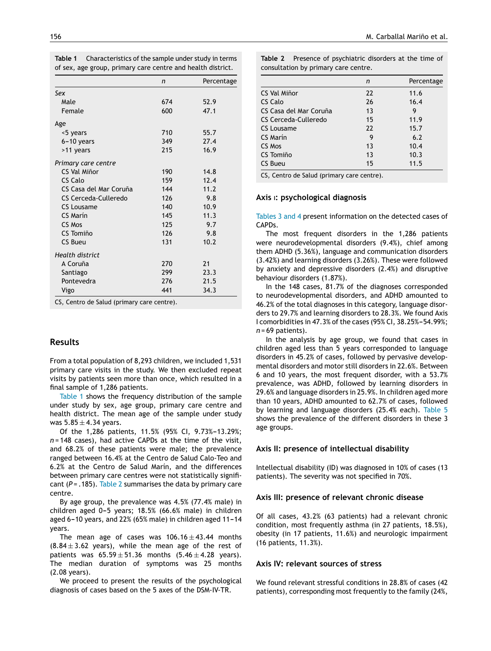| Table 1 | Characteristics of the sample under study in terms          |
|---------|-------------------------------------------------------------|
|         | of sex, age group, primary care centre and health district. |

|                        | n   | Percentage |
|------------------------|-----|------------|
| Sex                    |     |            |
| Male                   | 674 | 52.9       |
| Female                 | 600 | 47.1       |
| Age                    |     |            |
| <5 years               | 710 | 55.7       |
| $6-10$ years           | 349 | 27.4       |
| >11 years              | 215 | 16.9       |
| Primary care centre    |     |            |
| CS Val Miñor           | 190 | 14.8       |
| CS Calo                | 159 | 12.4       |
| CS Casa del Mar Coruña | 144 | 11.2       |
| CS Cerceda-Culleredo   | 126 | 9.8        |
| CS Lousame             | 140 | 10.9       |
| CS Marín               | 145 | 11.3       |
| CS Mos                 | 125 | 9.7        |
| CS Tomiño              | 126 | 9.8        |
| CS Bueu                | 131 | 10.7       |
| <b>Health district</b> |     |            |
| A Coruña               | 270 | 21         |
| Santiago               | 299 | 23.3       |
| Pontevedra             | 276 | 21.5       |
| Vigo                   | 441 | 34.3       |

CS, Centro de Salud (primary care centre).

## **Results**

From a total population of 8,293 children, we included 1,531 primary care visits in the study. We then excluded repeat visits by patients seen more than once, which resulted in a final sample of 1,286 patients.

Table 1 shows the frequency distribution of the sample under study by sex, age group, primary care centre and health district. The mean age of the sample under study was  $5.85 \pm 4.34$  years.

Of the 1,286 patients, 11.5% (95% CI, 9.73%-13.29%; *n =* 148 cases), had active CAPDs at the time of the visit, and 68.2% of these patients were male; the prevalence ranged between 16.4% at the Centro de Salud Calo-Teo and 6.2% at the Centro de Salud Marín, and the differences between primary care centres were not statistically significant ( $P = .185$ ). Table 2 summarises the data by primary care centre.

By age group, the prevalence was 4.5% (77.4% male) in children aged 0-5 years; 18.5% (66.6% male) in children aged 6-10 years, and 22% (65% male) in children aged 11-14 years.

The mean age of cases was  $106.16 \pm 43.44$  months  $(8.84 \pm 3.62$  years), while the mean age of the rest of patients was  $65.59 \pm 51.36$  months  $(5.46 \pm 4.28$  years). The median duration of symptoms was 25 months (2.08 years).

We proceed to present the results of the psychological diagnosis of cases based on the 5 axes of the DSM-IV-TR.

|                        | n  | Percentage |
|------------------------|----|------------|
| CS Val Miñor           | 22 | 11.6       |
| CS Calo                | 26 | 16.4       |
| CS Casa del Mar Coruña | 13 | 9          |
| CS Cerceda-Culleredo   | 15 | 11.9       |
| CS Lousame             | 22 | 15.7       |
| CS Marín               | 9  | 6.2        |
| CS Mos                 | 13 | 10.4       |
| CS Tomiño              | 13 | 10.3       |
| CS Bueu                | 15 | 11.5       |

CS, Centro de Salud (primary care centre).

#### **Axis** I**: psychological diagnosis**

[Tables](#page-4-0) 3 and 4 present information on the detected cases of CAPDs.

The most frequent disorders in the 1,286 patients were neurodevelopmental disorders (9.4%), chief among them ADHD (5.36%), language and communication disorders (3.42%) and learning disorders (3.26%). These were followed by anxiety and depressive disorders (2.4%) and disruptive behaviour disorders (1.87%).

In the 148 cases, 81.7% of the diagnoses corresponded to neurodevelopmental disorders, and ADHD amounted to 46.2% of the total diagnoses in this category, language disorders to 29.7% and learning disorders to 28.3%. We found Axis I comorbidities in 47.3% of the cases (95% CI, 38.25%-54.99%; *n* = 69 patients).

In the analysis by age group, we found that cases in children aged less than 5 years corresponded to language disorders in 45.2% of cases, followed by pervasive developmental disorders and motor still disorders in 22.6%. Between 6 and 10 years, the most frequent disorder, with a 53.7% prevalence, was ADHD, followed by learning disorders in 29.6% and language disorders in 25.9%. In children aged more than 10 years, ADHD amounted to 62.7% of cases, followed by learning and language disorders (25.4% each). [Table](#page-6-0) 5 shows the prevalence of the different disorders in these 3 age groups.

#### **Axis II: presence of intellectual disability**

Intellectual disability (ID) was diagnosed in 10% of cases (13 patients). The severity was not specified in 70%.

#### **Axis III: presence of relevant chronic disease**

Of all cases, 43.2% (63 patients) had a relevant chronic condition, most frequently asthma (in 27 patients, 18.5%), obesity (in 17 patients, 11.6%) and neurologic impairment (16 patients, 11.3%).

### **Axis IV: relevant sources of stress**

We found relevant stressful conditions in 28.8% of cases (42 patients), corresponding most frequently to the family (24%,

| <b>Table 2</b> Presence of psychiatric disorders at the time of |  |
|-----------------------------------------------------------------|--|
| consultation by primary care centre.                            |  |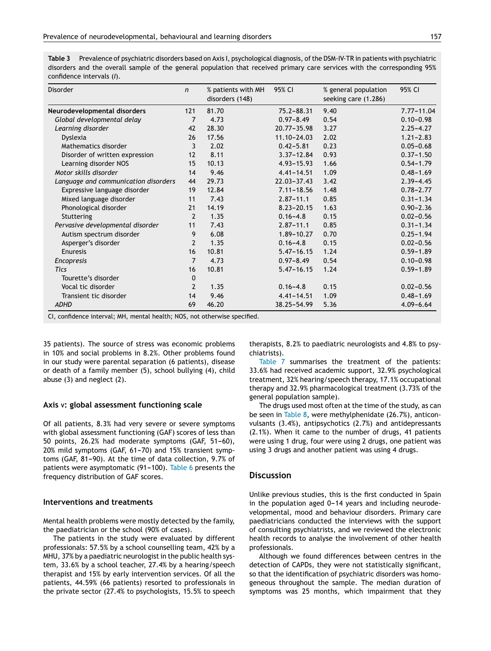<span id="page-4-0"></span>**Table 3** Prevalence of psychiatric disorders based on Axis I, psychological diagnosis, ofthe DSM-IV-TR in patients with psychiatric disorders and the overall sample of the general population that received primary care services with the corresponding 95% confidence intervals (*I*).

| <b>Disorder</b>                      | $\mathsf{n}$             | % patients with MH<br>disorders (148) | 95% CI          | % general population<br>seeking care (1.286) | 95% CI         |
|--------------------------------------|--------------------------|---------------------------------------|-----------------|----------------------------------------------|----------------|
| Neurodevelopmental disorders         | 121                      | 81.70                                 | $75.2 - 88.31$  | 9.40                                         | $7.77 - 11.04$ |
| Global developmental delay           | 7                        | 4.73                                  | $0.97 - 8.49$   | 0.54                                         | $0.10 - 0.98$  |
| Learning disorder                    | 42                       | 28.30                                 | $20.77 - 35.98$ | 3.27                                         | $2.25 - 4.27$  |
| Dyslexia                             | 26                       | 17.56                                 | 11.10-24.03     | 2.02                                         | $1.21 - 2.83$  |
| Mathematics disorder                 | 3                        | 2.02                                  | $0.42 - 5.81$   | 0.23                                         | $0.05 - 0.68$  |
| Disorder of written expression       | 12                       | 8.11                                  | $3.37 - 12.84$  | 0.93                                         | $0.37 - 1.50$  |
| Learning disorder NOS                | 15                       | 10.13                                 | $4.93 - 15.93$  | 1.66                                         | $0.54 - 1.79$  |
| Motor skills disorder                | 14                       | 9.46                                  | $4.41 - 14.51$  | 1.09                                         | $0.48 - 1.69$  |
| Language and communication disorders | 44                       | 29.73                                 | $22.03 - 37.43$ | 3.42                                         | $2.39 - 4.45$  |
| Expressive language disorder         | 19                       | 12.84                                 | $7.11 - 18.56$  | 1.48                                         | $0.78 - 2.77$  |
| Mixed language disorder              | 11                       | 7.43                                  | $2.87 - 11.1$   | 0.85                                         | $0.31 - 1.34$  |
| Phonological disorder                | 21                       | 14.19                                 | $8.23 - 20.15$  | 1.63                                         | $0.90 - 2.36$  |
| Stuttering                           | $\overline{\phantom{a}}$ | 1.35                                  | $0.16 - 4.8$    | 0.15                                         | $0.02 - 0.56$  |
| Pervasive developmental disorder     | 11                       | 7.43                                  | $2.87 - 11.1$   | 0.85                                         | $0.31 - 1.34$  |
| Autism spectrum disorder             | 9                        | 6.08                                  | $1.89 - 10.27$  | 0.70                                         | $0.25 - 1.94$  |
| Asperger's disorder                  | $\overline{2}$           | 1.35                                  | $0.16 - 4.8$    | 0.15                                         | $0.02 - 0.56$  |
| Enuresis                             | 16                       | 10.81                                 | $5.47 - 16.15$  | 1.24                                         | $0.59 - 1.89$  |
| Encopresis                           | 7                        | 4.73                                  | $0.97 - 8.49$   | 0.54                                         | $0.10 - 0.98$  |
| <b>Tics</b>                          | 16                       | 10.81                                 | $5.47 - 16.15$  | 1.24                                         | $0.59 - 1.89$  |
| Tourette's disorder                  | 0                        |                                       |                 |                                              |                |
| Vocal tic disorder                   | $\overline{2}$           | 1.35                                  | $0.16 - 4.8$    | 0.15                                         | $0.02 - 0.56$  |
| Transient tic disorder               | 14                       | 9.46                                  | $4.41 - 14.51$  | 1.09                                         | $0.48 - 1.69$  |
| <b>ADHD</b>                          | 69                       | 46.20                                 | 38.25-54.99     | 5.36                                         | $4.09 - 6.64$  |

CI, confidence interval; MH, mental health; NOS, not otherwise specified.

35 patients). The source of stress was economic problems in 10% and social problems in 8.2%. Other problems found in our study were parental separation (6 patients), disease or death of a family member (5), school bullying (4), child abuse (3) and neglect (2).

#### **Axis** V**: global assessment functioning scale**

Of all patients, 8.3% had very severe or severe symptoms with global assessment functioning (GAF) scores of less than 50 points, 26.2% had moderate symptoms (GAF, 51-60),  $20\%$  mild symptoms (GAF, 61-70) and 15% transient symptoms (GAF, 81-90). At the time of data collection, 9.7% of patients were asymptomatic  $(91-100)$ . [Table](#page-7-0) 6 presents the frequency distribution of GAF scores.

### **Interventions and treatments**

Mental health problems were mostly detected by the family, the paediatrician or the school (90% of cases).

The patients in the study were evaluated by different professionals: 57.5% by a school counselling team, 42% by a MHU, 37% by a paediatric neurologist in the public health system, 33.6% by a school teacher, 27.4% by a hearing/speech therapist and 15% by early intervention services. Of all the patients, 44.59% (66 patients) resorted to professionals in the private sector (27.4% to psychologists, 15.5% to speech therapists, 8.2% to paediatric neurologists and 4.8% to psychiatrists).

[Table](#page-7-0) 7 summarises the treatment of the patients: 33.6% had received academic support, 32.9% psychological treatment, 32% hearing/speech therapy, 17.1% occupational therapy and 32.9% pharmacological treatment (3.73% of the general population sample).

The drugs used most often at the time of the study, as can be seen in [Table](#page-7-0) 8, were methylphenidate (26.7%), anticonvulsants (3.4%), antipsychotics (2.7%) and antidepressants (2.1%). When it came to the number of drugs, 41 patients were using 1 drug, four were using 2 drugs, one patient was using 3 drugs and another patient was using 4 drugs.

## **Discussion**

Unlike previous studies, this is the first conducted in Spain in the population aged  $0-14$  years and including neurodevelopmental, mood and behaviour disorders. Primary care paediatricians conducted the interviews with the support of consulting psychiatrists, and we reviewed the electronic health records to analyse the involvement of other health professionals.

Although we found differences between centres in the detection of CAPDs, they were not statistically significant, so that the identification of psychiatric disorders was homogeneous throughout the sample. The median duration of symptoms was 25 months, which impairment that they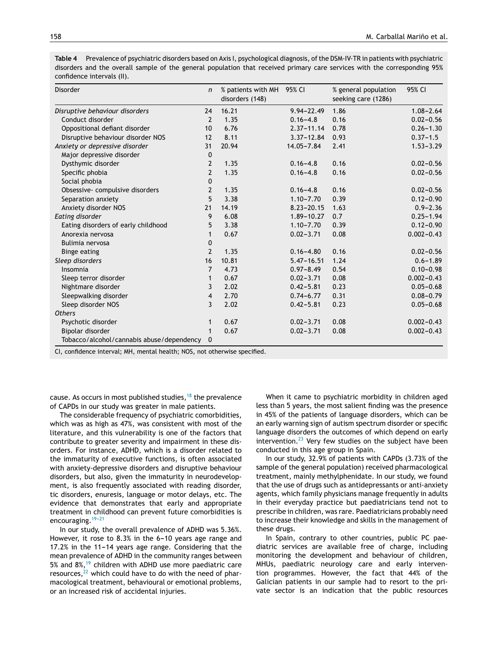| Disorder                                  | $\boldsymbol{n}$ | % patients with MH<br>disorders (148) | 95% CI         | % general population<br>seeking care (1286) | 95% CI         |
|-------------------------------------------|------------------|---------------------------------------|----------------|---------------------------------------------|----------------|
| Disruptive behaviour disorders            | 24               | 16.21                                 | $9.94 - 22.49$ | 1.86                                        | $1.08 - 2.64$  |
| Conduct disorder                          | $\overline{2}$   | 1.35                                  | $0.16 - 4.8$   | 0.16                                        | $0.02 - 0.56$  |
| Oppositional defiant disorder             | 10               | 6.76                                  | $2.37 - 11.14$ | 0.78                                        | $0.26 - 1.30$  |
| Disruptive behaviour disorder NOS         | 12               | 8.11                                  | $3.37 - 12.84$ | 0.93                                        | $0.37 - 1.5$   |
| Anxiety or depressive disorder            | 31               | 20.94                                 | 14.05-7.84     | 2.41                                        | $1.53 - 3.29$  |
| Major depressive disorder                 | 0                |                                       |                |                                             |                |
| Dysthymic disorder                        | $\overline{2}$   | 1.35                                  | $0.16 - 4.8$   | 0.16                                        | $0.02 - 0.56$  |
| Specific phobia                           | $\overline{2}$   | 1.35                                  | $0.16 - 4.8$   | 0.16                                        | $0.02 - 0.56$  |
| Social phobia                             | $\mathbf 0$      |                                       |                |                                             |                |
| Obsessive-compulsive disorders            | $\overline{2}$   | 1.35                                  | $0.16 - 4.8$   | 0.16                                        | $0.02 - 0.56$  |
| Separation anxiety                        | 5                | 3.38                                  | $1.10 - 7.70$  | 0.39                                        | $0.12 - 0.90$  |
| Anxiety disorder NOS                      | 21               | 14.19                                 | $8.23 - 20.15$ | 1.63                                        | $0.9 - 2.36$   |
| Eating disorder                           | 9                | 6.08                                  | 1.89-10.27     | 0.7                                         | $0.25 - 1.94$  |
| Eating disorders of early childhood       | 5                | 3.38                                  | $1.10 - 7.70$  | 0.39                                        | $0.12 - 0.90$  |
| Anorexia nervosa                          | $\mathbf{1}$     | 0.67                                  | $0.02 - 3.71$  | 0.08                                        | $0.002 - 0.43$ |
| Bulimia nervosa                           | 0                |                                       |                |                                             |                |
| <b>Binge eating</b>                       | $\overline{2}$   | 1.35                                  | $0.16 - 4.80$  | 0.16                                        | $0.02 - 0.56$  |
| Sleep disorders                           | 16               | 10.81                                 | $5.47 - 16.51$ | 1.24                                        | $0.6 - 1.89$   |
| Insomnia                                  | $\overline{7}$   | 4.73                                  | $0.97 - 8.49$  | 0.54                                        | $0.10 - 0.98$  |
| Sleep terror disorder                     | 1                | 0.67                                  | $0.02 - 3.71$  | 0.08                                        | $0.002 - 0.43$ |
| Nightmare disorder                        | 3                | 2.02                                  | $0.42 - 5.81$  | 0.23                                        | $0.05 - 0.68$  |
| Sleepwalking disorder                     | $\overline{4}$   | 2.70                                  | $0.74 - 6.77$  | 0.31                                        | $0.08 - 0.79$  |
| Sleep disorder NOS                        | 3                | 2.02                                  | $0.42 - 5.81$  | 0.23                                        | $0.05 - 0.68$  |
| <b>Others</b>                             |                  |                                       |                |                                             |                |
| Psychotic disorder                        | 1                | 0.67                                  | $0.02 - 3.71$  | 0.08                                        | $0.002 - 0.43$ |
| Bipolar disorder                          | 1                | 0.67                                  | $0.02 - 3.71$  | 0.08                                        | $0.002 - 0.43$ |
| Tobacco/alcohol/cannabis abuse/dependency | $\mathbf{0}$     |                                       |                |                                             |                |

**Table 4** Prevalence of psychiatric disorders based on Axis I, psychological diagnosis, ofthe DSM-IV-TR in patients with psychiatric disorders and the overall sample of the general population that received primary care services with the corresponding 95% confidence intervals (II).

CI, confidence interval; MH, mental health; NOS, not otherwise specified.

cause. As occurs in most published studies,  $18$  the prevalence of CAPDs in our study was greater in male patients.

The considerable frequency of psychiatric comorbidities, which was as high as 47%, was consistent with most of the literature, and this vulnerability is one of the factors that contribute to greater severity and impairment in these disorders. For instance, ADHD, which is a disorder related to the immaturity of executive functions, is often associated with anxiety-depressive disorders and disruptive behaviour disorders, but also, given the immaturity in neurodevelopment, is also frequently associated with reading disorder, tic disorders, enuresis, language or motor delays, etc. The evidence that demonstrates that early and appropriate treatment in childhood can prevent future comorbidities is encouraging.  $19-21$ 

In our study, the overall prevalence of ADHD was 5.36%. However, it rose to 8.3% in the  $6-10$  years age range and  $17.2\%$  in the 11-14 years age range. Considering that the mean prevalence of ADHD in the community ranges between 5% and  $8\%,^{19}$  $8\%,^{19}$  $8\%,^{19}$  children with ADHD use more paediatric care resources, $^{22}$  $^{22}$  $^{22}$  which could have to do with the need of pharmacological treatment, behavioural or emotional problems, or an increased risk of accidental injuries.

When it came to psychiatric morbidity in children aged less than 5 years, the most salient finding was the presence in 45% of the patients of language disorders, which can be an early warning sign of autism spectrum disorder or specific language disorders the outcomes of which depend on early intervention. $^{23}$  $^{23}$  $^{23}$  Very few studies on the subject have been conducted in this age group in Spain.

In our study, 32.9% of patients with CAPDs (3.73% of the sample of the general population) received pharmacological treatment, mainly methylphenidate. In our study, we found that the use of drugs such as antidepressants or anti-anxiety agents, which family physicians manage frequently in adults in their everyday practice but paediatricians tend not to prescribe in children, was rare. Paediatricians probably need to increase their knowledge and skills in the management of these drugs.

In Spain, contrary to other countries, public PC paediatric services are available free of charge, including monitoring the development and behaviour of children, MHUs, paediatric neurology care and early intervention programmes. However, the fact that 44% of the Galician patients in our sample had to resort to the private sector is an indication that the public resources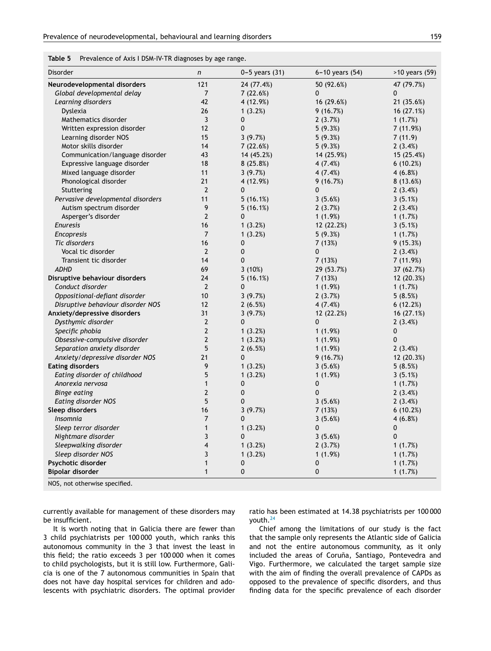<span id="page-6-0"></span>

| Table 5 | Prevalence of Axis I DSM-IV-TR diagnoses by age range. |  |  |  |
|---------|--------------------------------------------------------|--|--|--|
|---------|--------------------------------------------------------|--|--|--|

| Disorder                          | $\boldsymbol{n}$ | $0 - 5$ years $(31)$ | 6-10 years (54) | >10 years (59) |
|-----------------------------------|------------------|----------------------|-----------------|----------------|
| Neurodevelopmental disorders      | 121              | 24 (77.4%)           | 50 (92.6%)      | 47 (79.7%)     |
| Global developmental delay        | 7                | 7(22.6%)             | 0               | 0              |
| Learning disorders                | 42               | 4 (12.9%)            | 16 (29.6%)      | 21 (35.6%)     |
| Dyslexia                          | 26               | 1(3.2%)              | 9(16.7%)        | 16 (27.1%)     |
| Mathematics disorder              | 3                | 0                    | 2(3.7%)         | 1 $(1.7%)$     |
| Written expression disorder       | 12               | 0                    | 5(9.3%)         | 7 (11.9%)      |
| Learning disorder NOS             | 15               | 3(9.7%)              | 5(9.3%)         | 7(11.9)        |
| Motor skills disorder             | 14               | 7(22.6%)             | 5(9.3%)         | 2(3.4%)        |
| Communication/language disorder   | 43               | 14 (45.2%)           | 14 (25.9%)      | 15 (25.4%)     |
| Expressive language disorder      | 18               | 8(25.8%)             | 4(7.4%)         | 6(10.2%)       |
| Mixed language disorder           | 11               | 3(9.7%)              | 4(7.4%)         | 4(6.8%)        |
| Phonological disorder             | 21               | 4 (12.9%)            | 9(16.7%)        | 8(13.6%)       |
| Stuttering                        | $\overline{2}$   | 0                    | 0               | 2(3.4%)        |
| Pervasive developmental disorders | 11               | 5(16.1%)             | 3(5.6%)         | 3(5.1%)        |
| Autism spectrum disorder          | 9                | 5(16.1%)             | 2(3.7%)         | 2(3.4%)        |
| Asperger's disorder               | $\overline{2}$   | 0                    | 1(1.9%)         | 1(1.7%)        |
| <b>Enuresis</b>                   | 16               | 1(3.2%)              | 12 (22.2%)      | 3(5.1%)        |
| <b>Encopresis</b>                 | $\overline{7}$   | 1(3.2%)              | 5(9.3%)         | 1 $(1.7%)$     |
| Tic disorders                     | 16               | 0                    | 7 (13%)         | 9(15.3%)       |
| Vocal tic disorder                | $\overline{2}$   | 0                    | 0               | 2(3.4%)        |
| Transient tic disorder            | 14               | 0                    | 7(13%)          | 7 (11.9%)      |
| <b>ADHD</b>                       | 69               | 3(10%)               | 29 (53.7%)      | 37 (62.7%)     |
| Disruptive behaviour disorders    | 24               | 5(16.1%)             | 7(13%)          | 12 (20.3%)     |
| Conduct disorder                  | $\overline{2}$   | 0                    | 1(1.9%)         | 1 $(1.7%)$     |
| Oppositional-defiant disorder     | 10               | 3(9.7%)              | 2(3.7%)         | 5(8.5%)        |
| Disruptive behaviour disorder NOS | 12               | 2(6.5%)              | 4(7.4%)         | 6(12.2%)       |
| Anxiety/depressive disorders      | 31               | 3(9.7%)              | 12 (22.2%)      | 16 (27.1%)     |
| Dysthymic disorder                | $\overline{2}$   | 0                    | 0               | 2(3.4%)        |
| Specific phobia                   | $\overline{2}$   | 1(3.2%)              | 1(1.9%)         | 0              |
| Obsessive-compulsive disorder     | $\mathbf{2}$     | 1(3.2%)              | 1(1.9%)         | 0              |
| Separation anxiety disorder       | 5                | 2(6.5%)              | 1(1.9%)         | 2(3.4%)        |
| Anxiety/depressive disorder NOS   | 21               | 0                    | 9(16.7%)        | 12 (20.3%)     |
| <b>Eating disorders</b>           | 9                | 1(3.2%)              | 3(5.6%)         | 5(8.5%)        |
| Eating disorder of childhood      | 5                | 1(3.2%)              | 1(1.9%)         | 3(5.1%)        |
| Anorexia nervosa                  | $\mathbf{1}$     | 0                    | 0               | 1(1.7%)        |
| <b>Binge eating</b>               | $\mathbf{2}$     | 0                    | 0               | 2(3.4%)        |
| Eating disorder NOS               | 5                | 0                    | 3(5.6%)         | 2(3.4%)        |
| Sleep disorders                   | 16               | 3(9.7%)              | 7 (13%)         | 6(10.2%)       |
| Insomnia                          | $\overline{7}$   | 0                    | 3(5.6%)         | 4(6.8%)        |
| Sleep terror disorder             | $\mathbf{1}$     | 1(3.2%)              | 0               | 0              |
| Nightmare disorder                | 3                | 0                    | 3(5.6%)         | $\mathbf 0$    |
| Sleepwalking disorder             | 4                | 1(3.2%)              | 2(3.7%)         | 1(1.7%)        |
| Sleep disorder NOS                | 3                | 1(3.2%)              | 1(1.9%)         | 1(1.7%)        |
| Psychotic disorder                | $\mathbf{1}$     | 0                    | 0               | 1(1.7%)        |
| Bipolar disorder                  | $\mathbf{1}$     | 0                    | 0               | 1(1.7%)        |

NOS, not otherwise specified.

currently available for management of these disorders may be insufficient.

It is worth noting that in Galicia there are fewer than 3 child psychiatrists per 100 000 youth, which ranks this autonomous community in the 3 that invest the least in this field; the ratio exceeds 3 per 100 000 when it comes to child psychologists, but it is still low. Furthermore, Galicia is one of the 7 autonomous communities in Spain that does not have day hospital services for children and adolescents with psychiatric disorders. The optimal provider

ratio has been estimated at 14.38 psychiatrists per 100 000 youth.[24](#page-8-0)

Chief among the limitations of our study is the fact that the sample only represents the Atlantic side of Galicia and not the entire autonomous community, as it only included the areas of Coruña, Santiago, Pontevedra and Vigo. Furthermore, we calculated the target sample size with the aim of finding the overall prevalence of CAPDs as opposed to the prevalence of specific disorders, and thus finding data for the specific prevalence of each disorder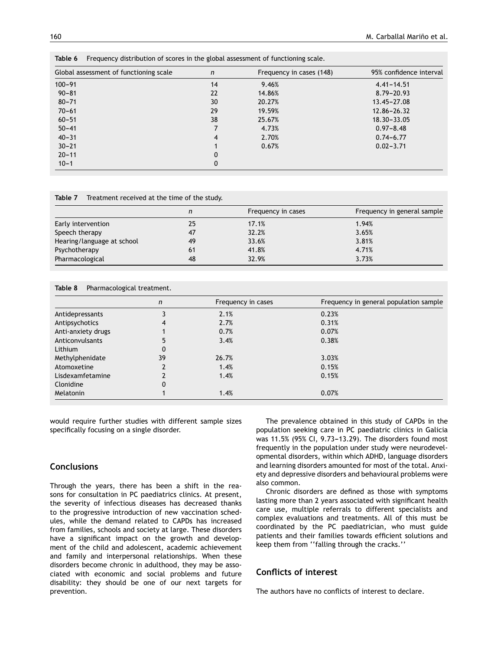| Global assessment of functioning scale | n  | Frequency in cases (148) | 95% confidence interval |
|----------------------------------------|----|--------------------------|-------------------------|
| $100 - 91$                             | 14 | 9.46%                    | $4.41 - 14.51$          |
| $90 - 81$                              | 22 | 14.86%                   | $8.79 - 20.93$          |
| $80 - 71$                              | 30 | 20.27%                   | $13.45 - 27.08$         |
| $70 - 61$                              | 29 | 19.59%                   | $12.86 - 26.32$         |
| $60 - 51$                              | 38 | 25.67%                   | 18.30-33.05             |
| $50 - 41$                              |    | 4.73%                    | $0.97 - 8.48$           |
| $40 - 31$                              | 4  | 2.70%                    | $0.74 - 6.77$           |
| $30 - 21$                              |    | 0.67%                    | $0.02 - 3.71$           |
| $20 - 11$                              | 0  |                          |                         |
| $10 - 1$                               | 0  |                          |                         |

<span id="page-7-0"></span>**Table 6** Frequency distribution of scores in the global assessment of functioning scale.

**Table 7** Treatment received at the time of the study.

|                            | n  | Frequency in cases | Frequency in general sample |
|----------------------------|----|--------------------|-----------------------------|
| Early intervention         | 25 | 17.1%              | 1.94%                       |
| Speech therapy             | 47 | 32.2%              | 3.65%                       |
| Hearing/language at school | 49 | 33.6%              | 3.81%                       |
| Psychotherapy              | 61 | 41.8%              | 4.71%                       |
| Pharmacological            | 48 | 32.9%              | 3.73%                       |

| Table 8<br>Pharmacological treatment. |    |                    |                                        |  |  |  |
|---------------------------------------|----|--------------------|----------------------------------------|--|--|--|
|                                       | n  | Frequency in cases | Frequency in general population sample |  |  |  |
| Antidepressants                       |    | 2.1%               | 0.23%                                  |  |  |  |
| Antipsychotics                        |    | 2.7%               | 0.31%                                  |  |  |  |
| Anti-anxiety drugs                    |    | 0.7%               | 0.07%                                  |  |  |  |
| Anticonvulsants                       |    | 3.4%               | 0.38%                                  |  |  |  |
| Lithium                               | 0  |                    |                                        |  |  |  |
| Methylphenidate                       | 39 | 26.7%              | 3.03%                                  |  |  |  |
| Atomoxetine                           |    | 1.4%               | 0.15%                                  |  |  |  |
| Lisdexamfetamine                      |    | 1.4%               | 0.15%                                  |  |  |  |
| Clonidine                             | 0  |                    |                                        |  |  |  |
| <b>Melatonin</b>                      |    | 1.4%               | 0.07%                                  |  |  |  |

would require further studies with different sample sizes specifically focusing on a single disorder.

## **Conclusions**

Through the years, there has been a shift in the reasons for consultation in PC paediatrics clinics. At present, the severity of infectious diseases has decreased thanks to the progressive introduction of new vaccination schedules, while the demand related to CAPDs has increased from families, schools and society at large. These disorders have a significant impact on the growth and development of the child and adolescent, academic achievement and family and interpersonal relationships. When these disorders become chronic in adulthood, they may be associated with economic and social problems and future disability: they should be one of our next targets for prevention.

The prevalence obtained in this study of CAPDs in the population seeking care in PC paediatric clinics in Galicia was 11.5% (95% CI, 9.73-13.29). The disorders found most frequently in the population under study were neurodevelopmental disorders, within which ADHD, language disorders and learning disorders amounted for most of the total. Anxiety and depressive disorders and behavioural problems were also common.

Chronic disorders are defined as those with symptoms lasting more than 2 years associated with significant health care use, multiple referrals to different specialists and complex evaluations and treatments. All of this must be coordinated by the PC paediatrician, who must guide patients and their families towards efficient solutions and keep them from ''falling through the cracks.''

# **Conflicts of interest**

The authors have no conflicts of interest to declare.